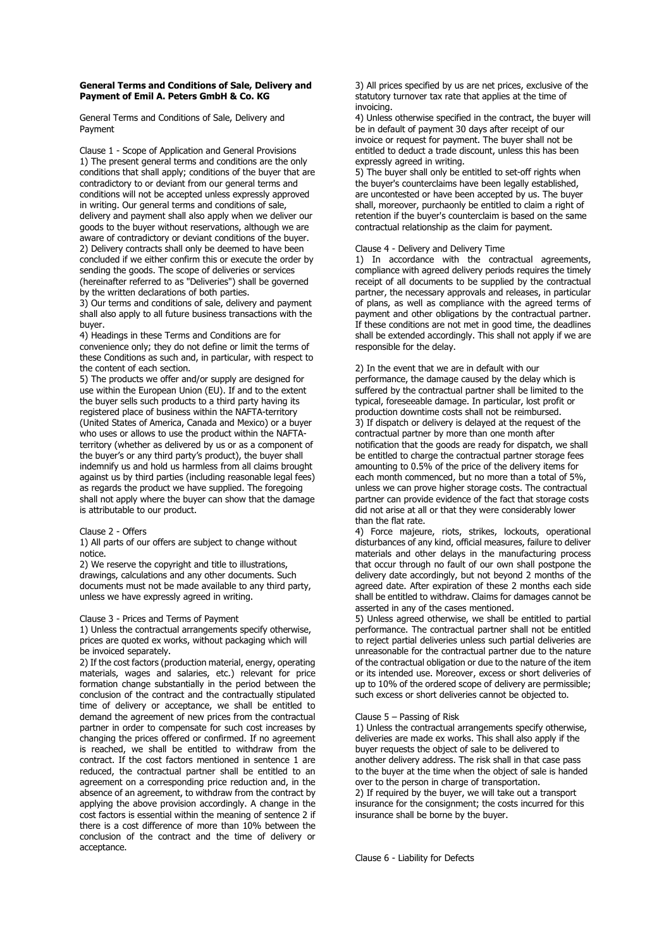# General Terms and Conditions of Sale, Delivery and Payment of Emil A. Peters GmbH & Co. KG

General Terms and Conditions of Sale, Delivery and Payment

Clause 1 - Scope of Application and General Provisions 1) The present general terms and conditions are the only conditions that shall apply; conditions of the buyer that are contradictory to or deviant from our general terms and conditions will not be accepted unless expressly approved in writing. Our general terms and conditions of sale, delivery and payment shall also apply when we deliver our goods to the buyer without reservations, although we are aware of contradictory or deviant conditions of the buyer. 2) Delivery contracts shall only be deemed to have been concluded if we either confirm this or execute the order by sending the goods. The scope of deliveries or services (hereinafter referred to as "Deliveries") shall be governed by the written declarations of both parties.

3) Our terms and conditions of sale, delivery and payment shall also apply to all future business transactions with the buyer.

4) Headings in these Terms and Conditions are for convenience only; they do not define or limit the terms of these Conditions as such and, in particular, with respect to the content of each section.

5) The products we offer and/or supply are designed for use within the European Union (EU). If and to the extent the buyer sells such products to a third party having its registered place of business within the NAFTA-territory (United States of America, Canada and Mexico) or a buyer who uses or allows to use the product within the NAFTAterritory (whether as delivered by us or as a component of the buyer's or any third party's product), the buyer shall indemnify us and hold us harmless from all claims brought against us by third parties (including reasonable legal fees) as regards the product we have supplied. The foregoing shall not apply where the buyer can show that the damage is attributable to our product.

#### Clause 2 - Offers

1) All parts of our offers are subject to change without notice.

2) We reserve the copyright and title to illustrations, drawings, calculations and any other documents. Such documents must not be made available to any third party, unless we have expressly agreed in writing.

### Clause 3 - Prices and Terms of Payment

1) Unless the contractual arrangements specify otherwise, prices are quoted ex works, without packaging which will be invoiced separately.

2) If the cost factors (production material, energy, operating materials, wages and salaries, etc.) relevant for price formation change substantially in the period between the conclusion of the contract and the contractually stipulated time of delivery or acceptance, we shall be entitled to demand the agreement of new prices from the contractual partner in order to compensate for such cost increases by changing the prices offered or confirmed. If no agreement is reached, we shall be entitled to withdraw from the contract. If the cost factors mentioned in sentence 1 are reduced, the contractual partner shall be entitled to an agreement on a corresponding price reduction and, in the absence of an agreement, to withdraw from the contract by applying the above provision accordingly. A change in the cost factors is essential within the meaning of sentence 2 if there is a cost difference of more than 10% between the conclusion of the contract and the time of delivery or acceptance.

3) All prices specified by us are net prices, exclusive of the statutory turnover tax rate that applies at the time of invoicing.

4) Unless otherwise specified in the contract, the buyer will be in default of payment 30 days after receipt of our invoice or request for payment. The buyer shall not be entitled to deduct a trade discount, unless this has been expressly agreed in writing.

5) The buyer shall only be entitled to set-off rights when the buyer's counterclaims have been legally established, are uncontested or have been accepted by us. The buyer shall, moreover, purchaonly be entitled to claim a right of retention if the buyer's counterclaim is based on the same contractual relationship as the claim for payment.

## Clause 4 - Delivery and Delivery Time

1) In accordance with the contractual agreements, compliance with agreed delivery periods requires the timely receipt of all documents to be supplied by the contractual partner, the necessary approvals and releases, in particular of plans, as well as compliance with the agreed terms of payment and other obligations by the contractual partner. If these conditions are not met in good time, the deadlines shall be extended accordingly. This shall not apply if we are responsible for the delay.

# 2) In the event that we are in default with our

performance, the damage caused by the delay which is suffered by the contractual partner shall be limited to the typical, foreseeable damage. In particular, lost profit or production downtime costs shall not be reimbursed. 3) If dispatch or delivery is delayed at the request of the contractual partner by more than one month after notification that the goods are ready for dispatch, we shall be entitled to charge the contractual partner storage fees amounting to 0.5% of the price of the delivery items for each month commenced, but no more than a total of 5%, unless we can prove higher storage costs. The contractual partner can provide evidence of the fact that storage costs did not arise at all or that they were considerably lower than the flat rate.

4) Force majeure, riots, strikes, lockouts, operational disturbances of any kind, official measures, failure to deliver materials and other delays in the manufacturing process that occur through no fault of our own shall postpone the delivery date accordingly, but not beyond 2 months of the agreed date. After expiration of these 2 months each side shall be entitled to withdraw. Claims for damages cannot be asserted in any of the cases mentioned.

5) Unless agreed otherwise, we shall be entitled to partial performance. The contractual partner shall not be entitled to reject partial deliveries unless such partial deliveries are unreasonable for the contractual partner due to the nature of the contractual obligation or due to the nature of the item or its intended use. Moreover, excess or short deliveries of up to 10% of the ordered scope of delivery are permissible; such excess or short deliveries cannot be objected to.

# Clause 5 – Passing of Risk

1) Unless the contractual arrangements specify otherwise, deliveries are made ex works. This shall also apply if the buyer requests the object of sale to be delivered to another delivery address. The risk shall in that case pass to the buyer at the time when the object of sale is handed over to the person in charge of transportation. 2) If required by the buyer, we will take out a transport insurance for the consignment; the costs incurred for this insurance shall be borne by the buyer.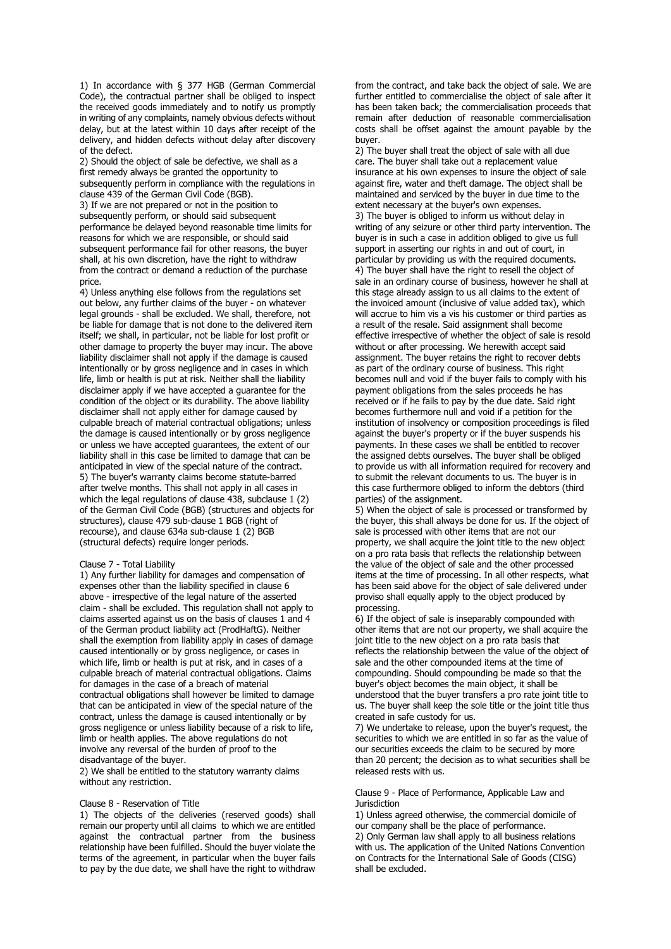1) In accordance with § 377 HGB (German Commercial Code), the contractual partner shall be obliged to inspect the received goods immediately and to notify us promptly in writing of any complaints, namely obvious defects without delay, but at the latest within 10 days after receipt of the delivery, and hidden defects without delay after discovery of the defect.

2) Should the object of sale be defective, we shall as a first remedy always be granted the opportunity to subsequently perform in compliance with the regulations in clause 439 of the German Civil Code (BGB). 3) If we are not prepared or not in the position to subsequently perform, or should said subsequent performance be delayed beyond reasonable time limits for reasons for which we are responsible, or should said subsequent performance fail for other reasons, the buyer shall, at his own discretion, have the right to withdraw from the contract or demand a reduction of the purchase price.

4) Unless anything else follows from the regulations set out below, any further claims of the buyer - on whatever legal grounds - shall be excluded. We shall, therefore, not be liable for damage that is not done to the delivered item itself; we shall, in particular, not be liable for lost profit or other damage to property the buyer may incur. The above liability disclaimer shall not apply if the damage is caused intentionally or by gross negligence and in cases in which life, limb or health is put at risk. Neither shall the liability disclaimer apply if we have accepted a guarantee for the condition of the object or its durability. The above liability disclaimer shall not apply either for damage caused by culpable breach of material contractual obligations; unless the damage is caused intentionally or by gross negligence or unless we have accepted guarantees, the extent of our liability shall in this case be limited to damage that can be anticipated in view of the special nature of the contract. 5) The buyer's warranty claims become statute-barred after twelve months. This shall not apply in all cases in which the legal regulations of clause 438, subclause 1 (2) of the German Civil Code (BGB) (structures and objects for structures), clause 479 sub-clause 1 BGB (right of recourse), and clause 634a sub-clause 1 (2) BGB (structural defects) require longer periods.

#### Clause 7 - Total Liability

1) Any further liability for damages and compensation of expenses other than the liability specified in clause 6 above - irrespective of the legal nature of the asserted claim - shall be excluded. This regulation shall not apply to claims asserted against us on the basis of clauses 1 and 4 of the German product liability act (ProdHaftG). Neither shall the exemption from liability apply in cases of damage caused intentionally or by gross negligence, or cases in which life, limb or health is put at risk, and in cases of a culpable breach of material contractual obligations. Claims for damages in the case of a breach of material contractual obligations shall however be limited to damage that can be anticipated in view of the special nature of the contract, unless the damage is caused intentionally or by gross negligence or unless liability because of a risk to life, limb or health applies. The above regulations do not involve any reversal of the burden of proof to the disadvantage of the buyer.

2) We shall be entitled to the statutory warranty claims without any restriction.

#### Clause 8 - Reservation of Title

1) The objects of the deliveries (reserved goods) shall remain our property until all claims to which we are entitled against the contractual partner from the business relationship have been fulfilled. Should the buyer violate the terms of the agreement, in particular when the buyer fails to pay by the due date, we shall have the right to withdraw

from the contract, and take back the object of sale. We are further entitled to commercialise the object of sale after it has been taken back; the commercialisation proceeds that remain after deduction of reasonable commercialisation costs shall be offset against the amount payable by the buyer.

2) The buyer shall treat the object of sale with all due care. The buyer shall take out a replacement value insurance at his own expenses to insure the object of sale against fire, water and theft damage. The object shall be maintained and serviced by the buyer in due time to the extent necessary at the buyer's own expenses.

3) The buyer is obliged to inform us without delay in writing of any seizure or other third party intervention. The buyer is in such a case in addition obliged to give us full support in asserting our rights in and out of court, in particular by providing us with the required documents. 4) The buyer shall have the right to resell the object of sale in an ordinary course of business, however he shall at this stage already assign to us all claims to the extent of the invoiced amount (inclusive of value added tax), which will accrue to him vis a vis his customer or third parties as a result of the resale. Said assignment shall become effective irrespective of whether the object of sale is resold without or after processing. We herewith accept said assignment. The buyer retains the right to recover debts as part of the ordinary course of business. This right becomes null and void if the buyer fails to comply with his payment obligations from the sales proceeds he has received or if he fails to pay by the due date. Said right becomes furthermore null and void if a petition for the institution of insolvency or composition proceedings is filed against the buyer's property or if the buyer suspends his payments. In these cases we shall be entitled to recover the assigned debts ourselves. The buyer shall be obliged to provide us with all information required for recovery and to submit the relevant documents to us. The buyer is in this case furthermore obliged to inform the debtors (third parties) of the assignment.

5) When the object of sale is processed or transformed by the buyer, this shall always be done for us. If the object of sale is processed with other items that are not our property, we shall acquire the joint title to the new object on a pro rata basis that reflects the relationship between the value of the object of sale and the other processed items at the time of processing. In all other respects, what has been said above for the object of sale delivered under proviso shall equally apply to the object produced by processing.

6) If the object of sale is inseparably compounded with other items that are not our property, we shall acquire the joint title to the new object on a pro rata basis that reflects the relationship between the value of the object of sale and the other compounded items at the time of compounding. Should compounding be made so that the buyer's object becomes the main object, it shall be understood that the buyer transfers a pro rate joint title to us. The buyer shall keep the sole title or the joint title thus created in safe custody for us.

7) We undertake to release, upon the buyer's request, the securities to which we are entitled in so far as the value of our securities exceeds the claim to be secured by more than 20 percent; the decision as to what securities shall be released rests with us.

Clause 9 - Place of Performance, Applicable Law and **Jurisdiction** 

1) Unless agreed otherwise, the commercial domicile of our company shall be the place of performance. 2) Only German law shall apply to all business relations with us. The application of the United Nations Convention on Contracts for the International Sale of Goods (CISG) shall be excluded.